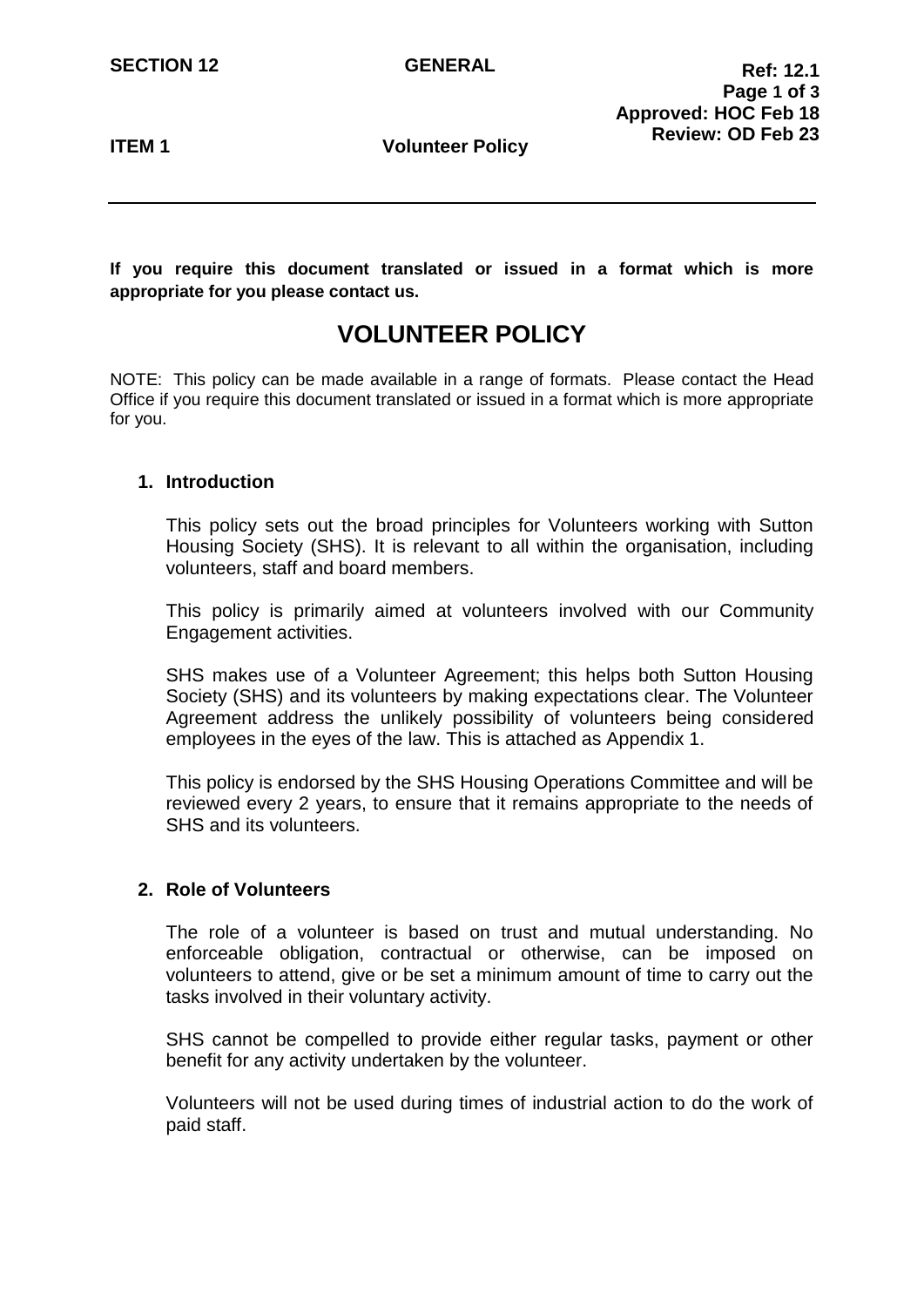**ITEM 1** Volunteer Policy

**If you require this document translated or issued in a format which is more appropriate for you please contact us.**

# **VOLUNTEER POLICY**

NOTE: This policy can be made available in a range of formats. Please contact the Head Office if you require this document translated or issued in a format which is more appropriate for you.

## **1. Introduction**

This policy sets out the broad principles for Volunteers working with Sutton Housing Society (SHS). It is relevant to all within the organisation, including volunteers, staff and board members.

This policy is primarily aimed at volunteers involved with our Community Engagement activities.

SHS makes use of a Volunteer Agreement; this helps both Sutton Housing Society (SHS) and its volunteers by making expectations clear. The Volunteer Agreement address the unlikely possibility of volunteers being considered employees in the eyes of the law. This is attached as Appendix 1.

This policy is endorsed by the SHS Housing Operations Committee and will be reviewed every 2 years, to ensure that it remains appropriate to the needs of SHS and its volunteers.

## **2. Role of Volunteers**

The role of a volunteer is based on trust and mutual understanding. No enforceable obligation, contractual or otherwise, can be imposed on volunteers to attend, give or be set a minimum amount of time to carry out the tasks involved in their voluntary activity.

SHS cannot be compelled to provide either regular tasks, payment or other benefit for any activity undertaken by the volunteer.

Volunteers will not be used during times of industrial action to do the work of paid staff.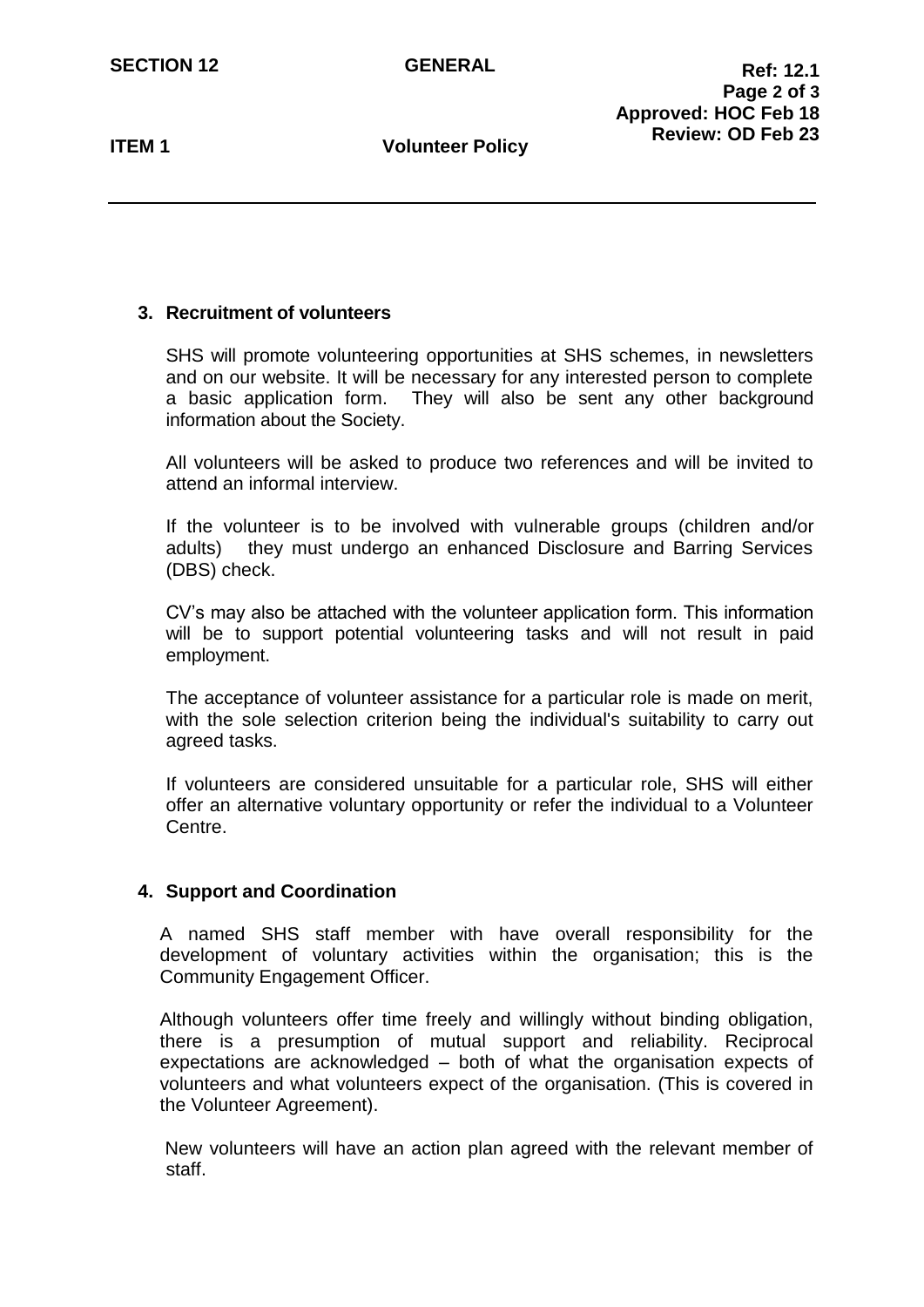**ITEM 1** Volunteer Policy

# **3. Recruitment of volunteers**

SHS will promote volunteering opportunities at SHS schemes, in newsletters and on our website. It will be necessary for any interested person to complete a basic application form. They will also be sent any other background information about the Society.

All volunteers will be asked to produce two references and will be invited to attend an informal interview.

If the volunteer is to be involved with vulnerable groups (children and/or adults) they must undergo an enhanced Disclosure and Barring Services (DBS) check.

CV's may also be attached with the volunteer application form. This information will be to support potential volunteering tasks and will not result in paid employment.

The acceptance of volunteer assistance for a particular role is made on merit, with the sole selection criterion being the individual's suitability to carry out agreed tasks.

If volunteers are considered unsuitable for a particular role, SHS will either offer an alternative voluntary opportunity or refer the individual to a Volunteer Centre.

## **4. Support and Coordination**

A named SHS staff member with have overall responsibility for the development of voluntary activities within the organisation; this is the Community Engagement Officer.

Although volunteers offer time freely and willingly without binding obligation, there is a presumption of mutual support and reliability. Reciprocal expectations are acknowledged – both of what the organisation expects of volunteers and what volunteers expect of the organisation. (This is covered in the Volunteer Agreement).

New volunteers will have an action plan agreed with the relevant member of staff.